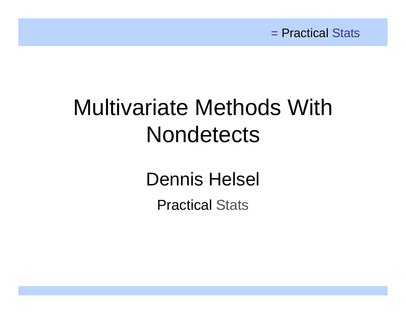# Multivariate Methods With **Nondetects**

Dennis Helsel

Practical Stats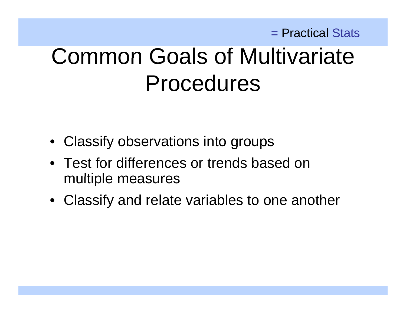# Common Goals of Multivariate Procedures

- Classify observations into groups
- Test for differences or trends based on multiple measures
- Classify and relate variables to one another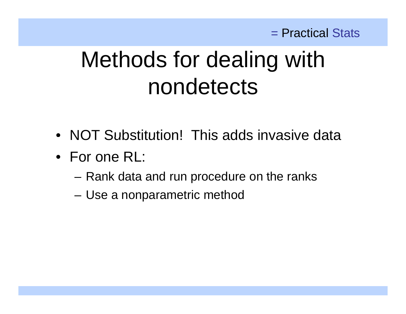# Methods for dealing with nondetects

- NOT Substitution! This adds invasive data
- For one RL:
	- $-$  Rank data and run procedure on the ranks
	- Use a nonparametric method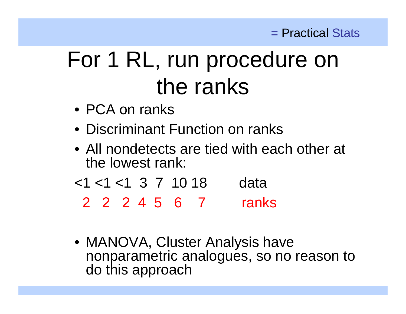# For 1 RL, run procedure on the ranks

- PCA on ranks
- Discriminant Function on ranks
- All nondetects are tied with each other at the lowest rank:
- $<$ 1  $<$ 1  $<$ 1 3 7 10 18 data
	- 2 2 2 4 5 6 7 ranks
- MANOVA, Cluster Analysis have nonparametric analogues, so no reason to do this approach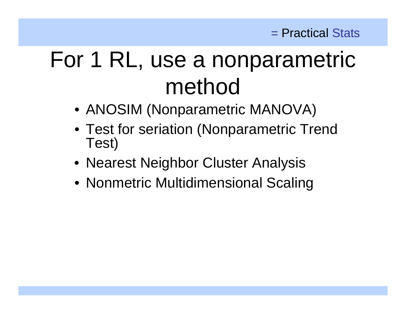# For 1 RL, use a nonparametric method

- ANOSIM (Nonparametric MANOVA)
- Test for seriation (Nonparametric Trend Test)
- Nearest Neighbor Cluster Analysis
- Nonmetric Multidimensional Scaling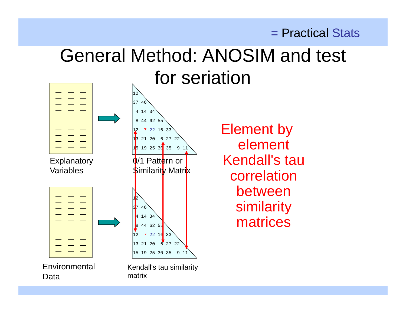### General Method: ANOSIM and test for seriation



 $\frac{1}{2}$   $\frac{2}{2}$   $\frac{6}{3}$   $\frac{27}{35}$   $\frac{22}{31}$   $\frac{23}{35}$   $\frac{21}{35}$   $\frac{21}{31}$   $\frac{23}{25}$   $\frac{25}{31}$   $\frac{26}{35}$   $\frac{21}{21}$   $\frac{22}{31}$   $\frac{23}{25}$   $\frac{21}{21}$ Kendall's tau correlationbetween similarity  $\left\{\left\{\begin{array}{c} \left\{\begin{array}{c}\text{and} \quad 34 \end{array}\right\}\right\} \qquad \qquad \text{matrices} \end{array}\right.$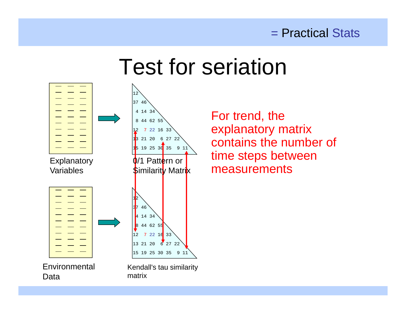### Test for seriation



For trend, the explanatory matrix contains the number of time steps between measurements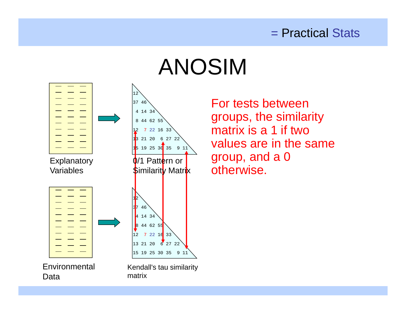# ANOSIM



For tests between groups, the similarity matrix is a 1 if two values are in the same group, and a 0 otherwise.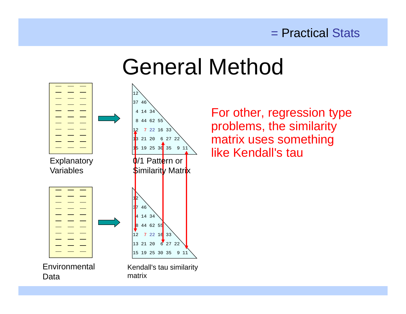## General Method



For other, regression type problems, the similarity matrix uses something like Kendall's tau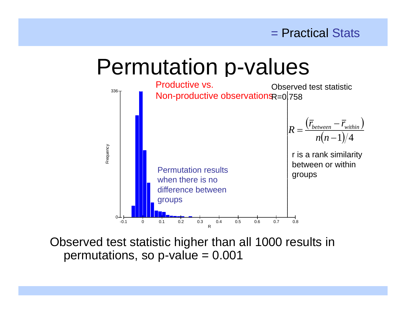### Permutation p-values



Observed test statistic higher than all 1000 results in permutations, so p-value = 0.001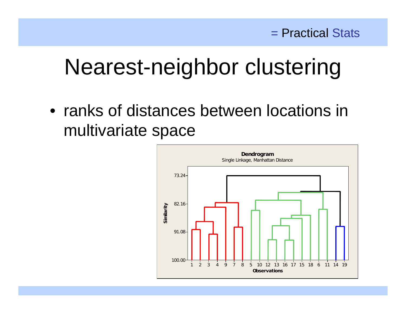## Nearest-neighbor clustering

• ranks of distances between locations in multivariate space

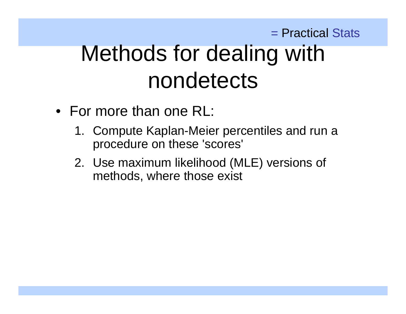### = Practical Stats Methods for dealing with nondetects

- For more than one RL:
	- 1. Compute Kaplan-Meier percentiles and run a procedure on these 'scores'
	- 2. Use maximum likelihood (MLE) versions of methods, where those exist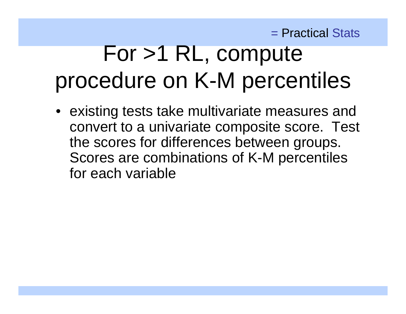# $For > 1$  RL, compute procedure on K-M percentiles

• existing tests take multivariate measures and convert to a univariate composite score. Test the scores for differences between groups. Scores are combinations of K-M percentiles for each variable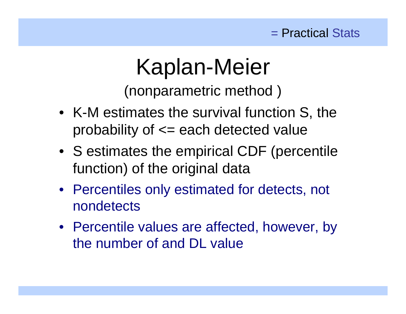## Kaplan-Meier

(nonparametric method)

- K-M estimates the survival function S, the probability of  $\leq$  each detected value
- S estimates the empirical CDF (percentile function) of the original data
- Percentiles only estimated for detects, not nondetects
- Percentile values are affected, however, by the number of and DL value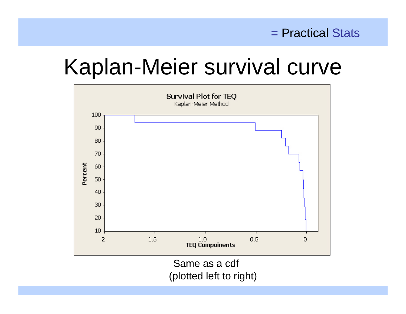## Kaplan-Meier survival curve

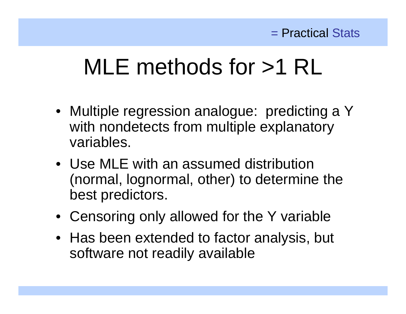# MLE methods for >1 RL

- Multiple regression analogue: predicting a Y with nondetects from multiple explanatory variables.
- Use MLE with an assumed distribution (normal, lognormal, other) to determine the best predictors.
- Censoring only allowed for the Y variable
- Has been extended to factor analysis, but software not readily available